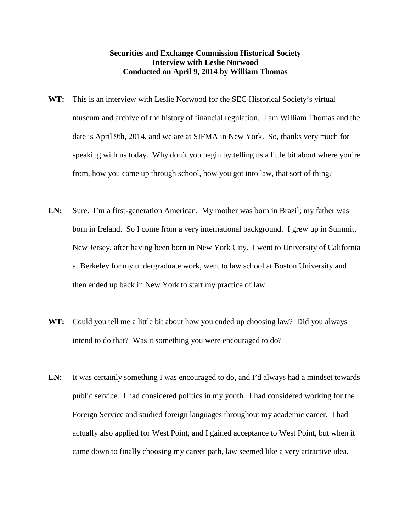## **Securities and Exchange Commission Historical Society Interview with Leslie Norwood Conducted on April 9, 2014 by William Thomas**

- **WT:** This is an interview with Leslie Norwood for the SEC Historical Society's virtual museum and archive of the history of financial regulation. I am William Thomas and the date is April 9th, 2014, and we are at SIFMA in New York. So, thanks very much for speaking with us today. Why don't you begin by telling us a little bit about where you're from, how you came up through school, how you got into law, that sort of thing?
- LN: Sure. I'm a first-generation American. My mother was born in Brazil; my father was born in Ireland. So I come from a very international background. I grew up in Summit, New Jersey, after having been born in New York City. I went to University of California at Berkeley for my undergraduate work, went to law school at Boston University and then ended up back in New York to start my practice of law.
- **WT:** Could you tell me a little bit about how you ended up choosing law? Did you always intend to do that? Was it something you were encouraged to do?
- LN: It was certainly something I was encouraged to do, and I'd always had a mindset towards public service. I had considered politics in my youth. I had considered working for the Foreign Service and studied foreign languages throughout my academic career. I had actually also applied for West Point, and I gained acceptance to West Point, but when it came down to finally choosing my career path, law seemed like a very attractive idea.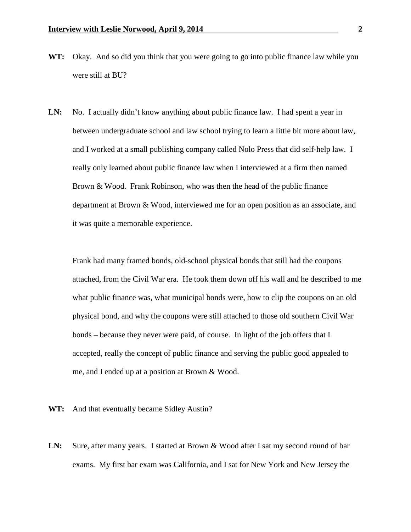- **WT:** Okay. And so did you think that you were going to go into public finance law while you were still at BU?
- LN: No. I actually didn't know anything about public finance law. I had spent a year in between undergraduate school and law school trying to learn a little bit more about law, and I worked at a small publishing company called Nolo Press that did self-help law. I really only learned about public finance law when I interviewed at a firm then named Brown & Wood. Frank Robinson, who was then the head of the public finance department at Brown & Wood, interviewed me for an open position as an associate, and it was quite a memorable experience.

Frank had many framed bonds, old-school physical bonds that still had the coupons attached, from the Civil War era. He took them down off his wall and he described to me what public finance was, what municipal bonds were, how to clip the coupons on an old physical bond, and why the coupons were still attached to those old southern Civil War bonds – because they never were paid, of course. In light of the job offers that I accepted, really the concept of public finance and serving the public good appealed to me, and I ended up at a position at Brown & Wood.

**WT:** And that eventually became Sidley Austin?

LN: Sure, after many years. I started at Brown & Wood after I sat my second round of bar exams. My first bar exam was California, and I sat for New York and New Jersey the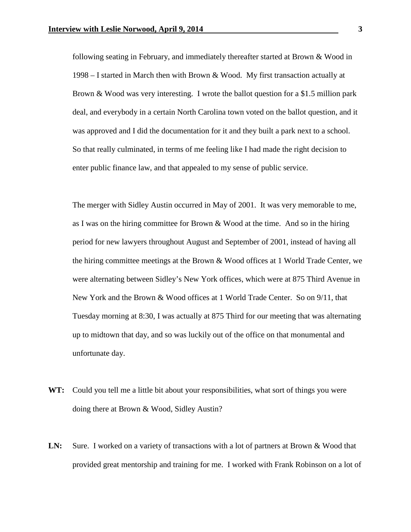following seating in February, and immediately thereafter started at Brown & Wood in 1998 – I started in March then with Brown & Wood. My first transaction actually at Brown & Wood was very interesting. I wrote the ballot question for a \$1.5 million park deal, and everybody in a certain North Carolina town voted on the ballot question, and it was approved and I did the documentation for it and they built a park next to a school. So that really culminated, in terms of me feeling like I had made the right decision to enter public finance law, and that appealed to my sense of public service.

The merger with Sidley Austin occurred in May of 2001. It was very memorable to me, as I was on the hiring committee for Brown & Wood at the time. And so in the hiring period for new lawyers throughout August and September of 2001, instead of having all the hiring committee meetings at the Brown & Wood offices at 1 World Trade Center, we were alternating between Sidley's New York offices, which were at 875 Third Avenue in New York and the Brown & Wood offices at 1 World Trade Center. So on 9/11, that Tuesday morning at 8:30, I was actually at 875 Third for our meeting that was alternating up to midtown that day, and so was luckily out of the office on that monumental and unfortunate day.

- **WT:** Could you tell me a little bit about your responsibilities, what sort of things you were doing there at Brown & Wood, Sidley Austin?
- LN: Sure. I worked on a variety of transactions with a lot of partners at Brown & Wood that provided great mentorship and training for me. I worked with Frank Robinson on a lot of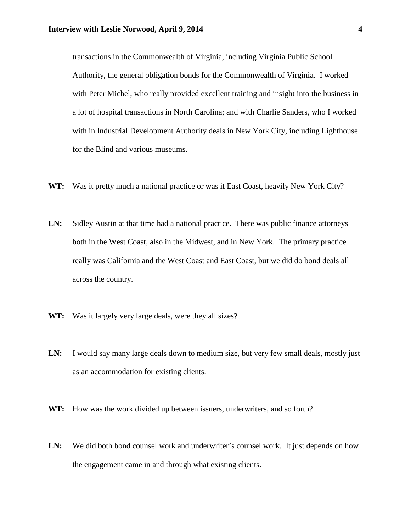transactions in the Commonwealth of Virginia, including Virginia Public School Authority, the general obligation bonds for the Commonwealth of Virginia. I worked with Peter Michel, who really provided excellent training and insight into the business in a lot of hospital transactions in North Carolina; and with Charlie Sanders, who I worked with in Industrial Development Authority deals in New York City, including Lighthouse for the Blind and various museums.

- **WT:** Was it pretty much a national practice or was it East Coast, heavily New York City?
- **LN:** Sidley Austin at that time had a national practice. There was public finance attorneys both in the West Coast, also in the Midwest, and in New York. The primary practice really was California and the West Coast and East Coast, but we did do bond deals all across the country.
- **WT:** Was it largely very large deals, were they all sizes?
- LN: I would say many large deals down to medium size, but very few small deals, mostly just as an accommodation for existing clients.
- **WT:** How was the work divided up between issuers, underwriters, and so forth?
- LN: We did both bond counsel work and underwriter's counsel work. It just depends on how the engagement came in and through what existing clients.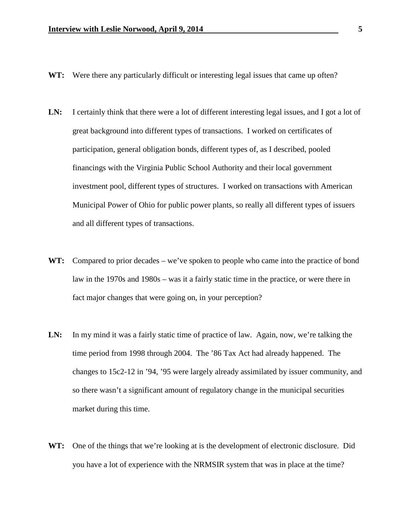- **WT:** Were there any particularly difficult or interesting legal issues that came up often?
- LN: I certainly think that there were a lot of different interesting legal issues, and I got a lot of great background into different types of transactions. I worked on certificates of participation, general obligation bonds, different types of, as I described, pooled financings with the Virginia Public School Authority and their local government investment pool, different types of structures. I worked on transactions with American Municipal Power of Ohio for public power plants, so really all different types of issuers and all different types of transactions.
- **WT:** Compared to prior decades we've spoken to people who came into the practice of bond law in the 1970s and 1980s – was it a fairly static time in the practice, or were there in fact major changes that were going on, in your perception?
- LN: In my mind it was a fairly static time of practice of law. Again, now, we're talking the time period from 1998 through 2004. The '86 Tax Act had already happened. The changes to 15c2-12 in '94, '95 were largely already assimilated by issuer community, and so there wasn't a significant amount of regulatory change in the municipal securities market during this time.
- **WT:** One of the things that we're looking at is the development of electronic disclosure. Did you have a lot of experience with the NRMSIR system that was in place at the time?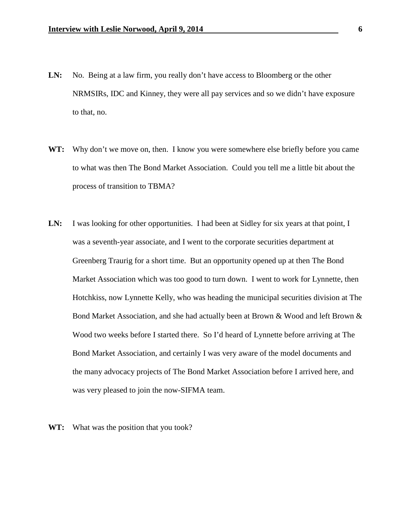- LN: No. Being at a law firm, you really don't have access to Bloomberg or the other NRMSIRs, IDC and Kinney, they were all pay services and so we didn't have exposure to that, no.
- WT: Why don't we move on, then. I know you were somewhere else briefly before you came to what was then The Bond Market Association. Could you tell me a little bit about the process of transition to TBMA?
- LN: I was looking for other opportunities. I had been at Sidley for six years at that point, I was a seventh-year associate, and I went to the corporate securities department at Greenberg Traurig for a short time. But an opportunity opened up at then The Bond Market Association which was too good to turn down. I went to work for Lynnette, then Hotchkiss, now Lynnette Kelly, who was heading the municipal securities division at The Bond Market Association, and she had actually been at Brown & Wood and left Brown & Wood two weeks before I started there. So I'd heard of Lynnette before arriving at The Bond Market Association, and certainly I was very aware of the model documents and the many advocacy projects of The Bond Market Association before I arrived here, and was very pleased to join the now-SIFMA team.
- **WT:** What was the position that you took?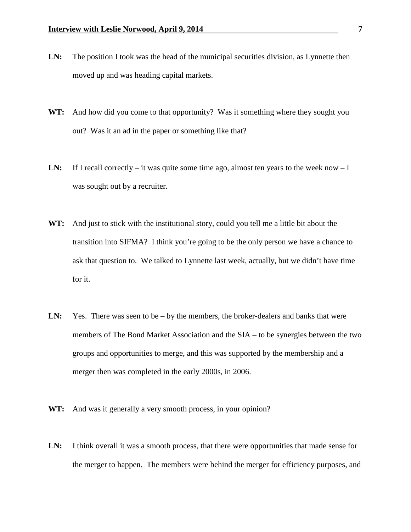- LN: The position I took was the head of the municipal securities division, as Lynnette then moved up and was heading capital markets.
- **WT:** And how did you come to that opportunity? Was it something where they sought you out? Was it an ad in the paper or something like that?
- LN: If I recall correctly it was quite some time ago, almost ten years to the week now I was sought out by a recruiter.
- **WT:** And just to stick with the institutional story, could you tell me a little bit about the transition into SIFMA? I think you're going to be the only person we have a chance to ask that question to. We talked to Lynnette last week, actually, but we didn't have time for it.
- LN: Yes. There was seen to be by the members, the broker-dealers and banks that were members of The Bond Market Association and the SIA – to be synergies between the two groups and opportunities to merge, and this was supported by the membership and a merger then was completed in the early 2000s, in 2006.
- WT: And was it generally a very smooth process, in your opinion?
- LN: I think overall it was a smooth process, that there were opportunities that made sense for the merger to happen. The members were behind the merger for efficiency purposes, and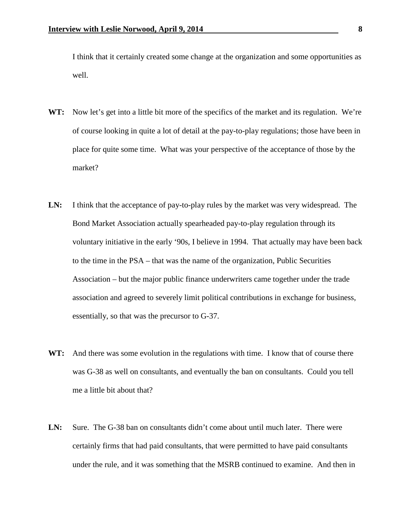I think that it certainly created some change at the organization and some opportunities as well.

- **WT:** Now let's get into a little bit more of the specifics of the market and its regulation. We're of course looking in quite a lot of detail at the pay-to-play regulations; those have been in place for quite some time. What was your perspective of the acceptance of those by the market?
- **LN:** I think that the acceptance of pay-to-play rules by the market was very widespread. The Bond Market Association actually spearheaded pay-to-play regulation through its voluntary initiative in the early '90s, I believe in 1994. That actually may have been back to the time in the PSA – that was the name of the organization, Public Securities Association – but the major public finance underwriters came together under the trade association and agreed to severely limit political contributions in exchange for business, essentially, so that was the precursor to G-37.
- WT: And there was some evolution in the regulations with time. I know that of course there was G-38 as well on consultants, and eventually the ban on consultants. Could you tell me a little bit about that?
- **LN:** Sure. The G-38 ban on consultants didn't come about until much later. There were certainly firms that had paid consultants, that were permitted to have paid consultants under the rule, and it was something that the MSRB continued to examine. And then in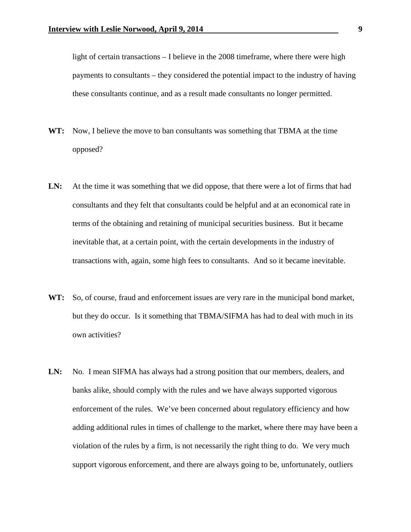light of certain transactions – I believe in the 2008 timeframe, where there were high payments to consultants – they considered the potential impact to the industry of having these consultants continue, and as a result made consultants no longer permitted.

- **WT:** Now, I believe the move to ban consultants was something that TBMA at the time opposed?
- LN: At the time it was something that we did oppose, that there were a lot of firms that had consultants and they felt that consultants could be helpful and at an economical rate in terms of the obtaining and retaining of municipal securities business. But it became inevitable that, at a certain point, with the certain developments in the industry of transactions with, again, some high fees to consultants. And so it became inevitable.
- **WT:** So, of course, fraud and enforcement issues are very rare in the municipal bond market, but they do occur. Is it something that TBMA/SIFMA has had to deal with much in its own activities?
- LN: No. I mean SIFMA has always had a strong position that our members, dealers, and banks alike, should comply with the rules and we have always supported vigorous enforcement of the rules. We've been concerned about regulatory efficiency and how adding additional rules in times of challenge to the market, where there may have been a violation of the rules by a firm, is not necessarily the right thing to do. We very much support vigorous enforcement, and there are always going to be, unfortunately, outliers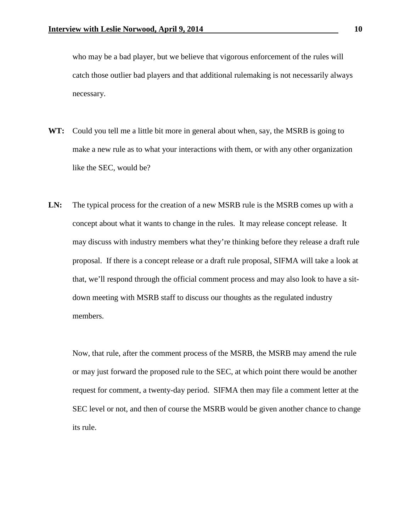who may be a bad player, but we believe that vigorous enforcement of the rules will catch those outlier bad players and that additional rulemaking is not necessarily always necessary.

- **WT:** Could you tell me a little bit more in general about when, say, the MSRB is going to make a new rule as to what your interactions with them, or with any other organization like the SEC, would be?
- LN: The typical process for the creation of a new MSRB rule is the MSRB comes up with a concept about what it wants to change in the rules. It may release concept release. It may discuss with industry members what they're thinking before they release a draft rule proposal. If there is a concept release or a draft rule proposal, SIFMA will take a look at that, we'll respond through the official comment process and may also look to have a sitdown meeting with MSRB staff to discuss our thoughts as the regulated industry members.

Now, that rule, after the comment process of the MSRB, the MSRB may amend the rule or may just forward the proposed rule to the SEC, at which point there would be another request for comment, a twenty-day period. SIFMA then may file a comment letter at the SEC level or not, and then of course the MSRB would be given another chance to change its rule.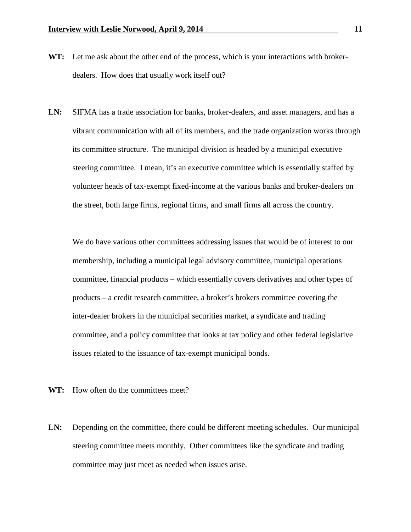- **WT:** Let me ask about the other end of the process, which is your interactions with brokerdealers. How does that usually work itself out?
- **LN:** SIFMA has a trade association for banks, broker-dealers, and asset managers, and has a vibrant communication with all of its members, and the trade organization works through its committee structure. The municipal division is headed by a municipal executive steering committee. I mean, it's an executive committee which is essentially staffed by volunteer heads of tax-exempt fixed-income at the various banks and broker-dealers on the street, both large firms, regional firms, and small firms all across the country.

We do have various other committees addressing issues that would be of interest to our membership, including a municipal legal advisory committee, municipal operations committee, financial products – which essentially covers derivatives and other types of products – a credit research committee, a broker's brokers committee covering the inter-dealer brokers in the municipal securities market, a syndicate and trading committee, and a policy committee that looks at tax policy and other federal legislative issues related to the issuance of tax-exempt municipal bonds.

- **WT:** How often do the committees meet?
- **LN:** Depending on the committee, there could be different meeting schedules. Our municipal steering committee meets monthly. Other committees like the syndicate and trading committee may just meet as needed when issues arise.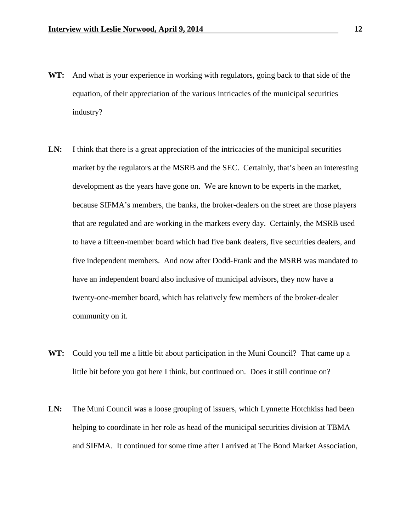- **WT:** And what is your experience in working with regulators, going back to that side of the equation, of their appreciation of the various intricacies of the municipal securities industry?
- LN: I think that there is a great appreciation of the intricacies of the municipal securities market by the regulators at the MSRB and the SEC. Certainly, that's been an interesting development as the years have gone on. We are known to be experts in the market, because SIFMA's members, the banks, the broker-dealers on the street are those players that are regulated and are working in the markets every day. Certainly, the MSRB used to have a fifteen-member board which had five bank dealers, five securities dealers, and five independent members. And now after Dodd-Frank and the MSRB was mandated to have an independent board also inclusive of municipal advisors, they now have a twenty-one-member board, which has relatively few members of the broker-dealer community on it.
- **WT:** Could you tell me a little bit about participation in the Muni Council? That came up a little bit before you got here I think, but continued on. Does it still continue on?
- LN: The Muni Council was a loose grouping of issuers, which Lynnette Hotchkiss had been helping to coordinate in her role as head of the municipal securities division at TBMA and SIFMA. It continued for some time after I arrived at The Bond Market Association,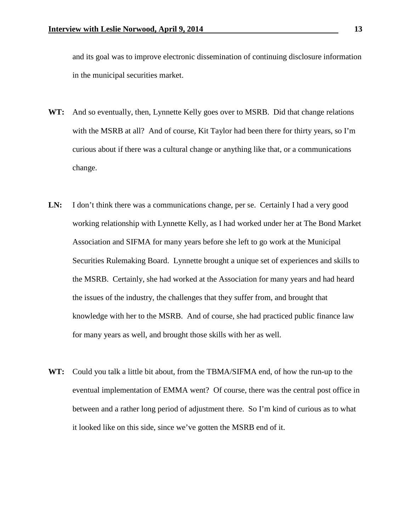and its goal was to improve electronic dissemination of continuing disclosure information in the municipal securities market.

- **WT:** And so eventually, then, Lynnette Kelly goes over to MSRB. Did that change relations with the MSRB at all? And of course, Kit Taylor had been there for thirty years, so I'm curious about if there was a cultural change or anything like that, or a communications change.
- LN: I don't think there was a communications change, per se. Certainly I had a very good working relationship with Lynnette Kelly, as I had worked under her at The Bond Market Association and SIFMA for many years before she left to go work at the Municipal Securities Rulemaking Board. Lynnette brought a unique set of experiences and skills to the MSRB. Certainly, she had worked at the Association for many years and had heard the issues of the industry, the challenges that they suffer from, and brought that knowledge with her to the MSRB. And of course, she had practiced public finance law for many years as well, and brought those skills with her as well.
- **WT:** Could you talk a little bit about, from the TBMA/SIFMA end, of how the run-up to the eventual implementation of EMMA went? Of course, there was the central post office in between and a rather long period of adjustment there. So I'm kind of curious as to what it looked like on this side, since we've gotten the MSRB end of it.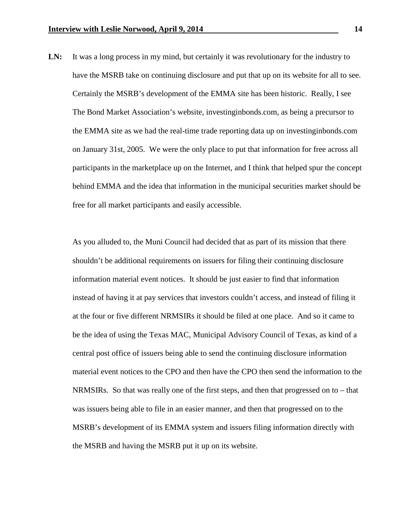LN: It was a long process in my mind, but certainly it was revolutionary for the industry to have the MSRB take on continuing disclosure and put that up on its website for all to see. Certainly the MSRB's development of the EMMA site has been historic. Really, I see The Bond Market Association's website, investinginbonds.com, as being a precursor to the EMMA site as we had the real-time trade reporting data up on investinginbonds.com on January 31st, 2005. We were the only place to put that information for free across all participants in the marketplace up on the Internet, and I think that helped spur the concept behind EMMA and the idea that information in the municipal securities market should be free for all market participants and easily accessible.

As you alluded to, the Muni Council had decided that as part of its mission that there shouldn't be additional requirements on issuers for filing their continuing disclosure information material event notices. It should be just easier to find that information instead of having it at pay services that investors couldn't access, and instead of filing it at the four or five different NRMSIRs it should be filed at one place. And so it came to be the idea of using the Texas MAC, Municipal Advisory Council of Texas, as kind of a central post office of issuers being able to send the continuing disclosure information material event notices to the CPO and then have the CPO then send the information to the NRMSIRs. So that was really one of the first steps, and then that progressed on to – that was issuers being able to file in an easier manner, and then that progressed on to the MSRB's development of its EMMA system and issuers filing information directly with the MSRB and having the MSRB put it up on its website.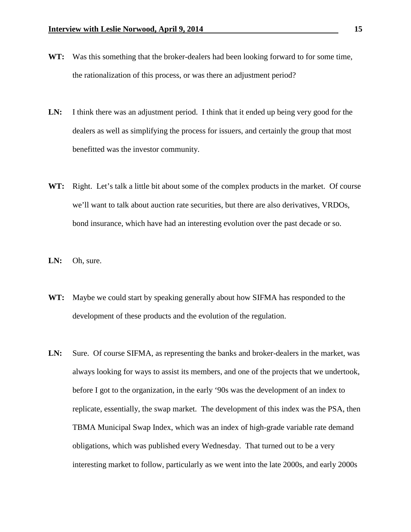- **WT:** Was this something that the broker-dealers had been looking forward to for some time, the rationalization of this process, or was there an adjustment period?
- **LN:** I think there was an adjustment period. I think that it ended up being very good for the dealers as well as simplifying the process for issuers, and certainly the group that most benefitted was the investor community.
- **WT:** Right. Let's talk a little bit about some of the complex products in the market. Of course we'll want to talk about auction rate securities, but there are also derivatives, VRDOs, bond insurance, which have had an interesting evolution over the past decade or so.
- **LN:** Oh, sure.
- **WT:** Maybe we could start by speaking generally about how SIFMA has responded to the development of these products and the evolution of the regulation.
- **LN:** Sure. Of course SIFMA, as representing the banks and broker-dealers in the market, was always looking for ways to assist its members, and one of the projects that we undertook, before I got to the organization, in the early '90s was the development of an index to replicate, essentially, the swap market. The development of this index was the PSA, then TBMA Municipal Swap Index, which was an index of high-grade variable rate demand obligations, which was published every Wednesday. That turned out to be a very interesting market to follow, particularly as we went into the late 2000s, and early 2000s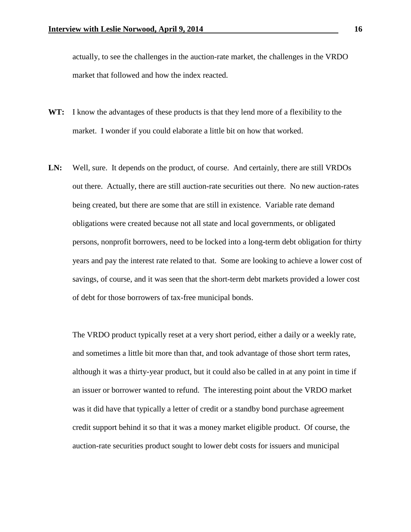actually, to see the challenges in the auction-rate market, the challenges in the VRDO market that followed and how the index reacted.

- **WT:** I know the advantages of these products is that they lend more of a flexibility to the market. I wonder if you could elaborate a little bit on how that worked.
- **LN:** Well, sure. It depends on the product, of course. And certainly, there are still VRDOs out there. Actually, there are still auction-rate securities out there. No new auction-rates being created, but there are some that are still in existence. Variable rate demand obligations were created because not all state and local governments, or obligated persons, nonprofit borrowers, need to be locked into a long-term debt obligation for thirty years and pay the interest rate related to that. Some are looking to achieve a lower cost of savings, of course, and it was seen that the short-term debt markets provided a lower cost of debt for those borrowers of tax-free municipal bonds.

The VRDO product typically reset at a very short period, either a daily or a weekly rate, and sometimes a little bit more than that, and took advantage of those short term rates, although it was a thirty-year product, but it could also be called in at any point in time if an issuer or borrower wanted to refund. The interesting point about the VRDO market was it did have that typically a letter of credit or a standby bond purchase agreement credit support behind it so that it was a money market eligible product. Of course, the auction-rate securities product sought to lower debt costs for issuers and municipal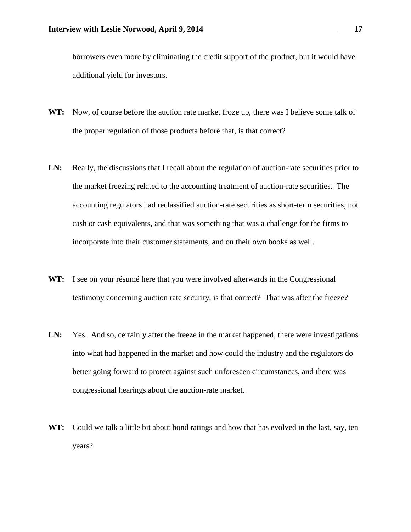borrowers even more by eliminating the credit support of the product, but it would have additional yield for investors.

- **WT:** Now, of course before the auction rate market froze up, there was I believe some talk of the proper regulation of those products before that, is that correct?
- LN: Really, the discussions that I recall about the regulation of auction-rate securities prior to the market freezing related to the accounting treatment of auction-rate securities. The accounting regulators had reclassified auction-rate securities as short-term securities, not cash or cash equivalents, and that was something that was a challenge for the firms to incorporate into their customer statements, and on their own books as well.
- **WT:** I see on your résumé here that you were involved afterwards in the Congressional testimony concerning auction rate security, is that correct? That was after the freeze?
- LN: Yes. And so, certainly after the freeze in the market happened, there were investigations into what had happened in the market and how could the industry and the regulators do better going forward to protect against such unforeseen circumstances, and there was congressional hearings about the auction-rate market.
- **WT:** Could we talk a little bit about bond ratings and how that has evolved in the last, say, ten years?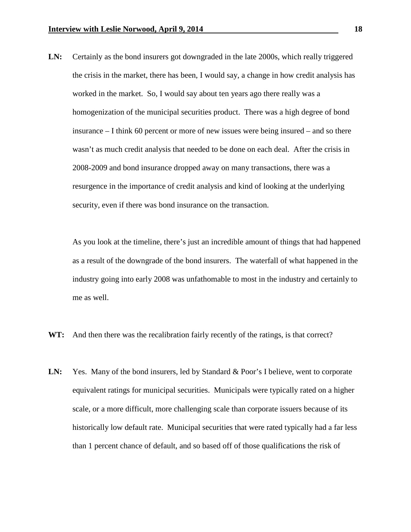**LN:** Certainly as the bond insurers got downgraded in the late 2000s, which really triggered the crisis in the market, there has been, I would say, a change in how credit analysis has worked in the market. So, I would say about ten years ago there really was a homogenization of the municipal securities product. There was a high degree of bond insurance – I think 60 percent or more of new issues were being insured – and so there wasn't as much credit analysis that needed to be done on each deal. After the crisis in 2008-2009 and bond insurance dropped away on many transactions, there was a resurgence in the importance of credit analysis and kind of looking at the underlying security, even if there was bond insurance on the transaction.

As you look at the timeline, there's just an incredible amount of things that had happened as a result of the downgrade of the bond insurers. The waterfall of what happened in the industry going into early 2008 was unfathomable to most in the industry and certainly to me as well.

- **WT:** And then there was the recalibration fairly recently of the ratings, is that correct?
- LN: Yes. Many of the bond insurers, led by Standard & Poor's I believe, went to corporate equivalent ratings for municipal securities. Municipals were typically rated on a higher scale, or a more difficult, more challenging scale than corporate issuers because of its historically low default rate. Municipal securities that were rated typically had a far less than 1 percent chance of default, and so based off of those qualifications the risk of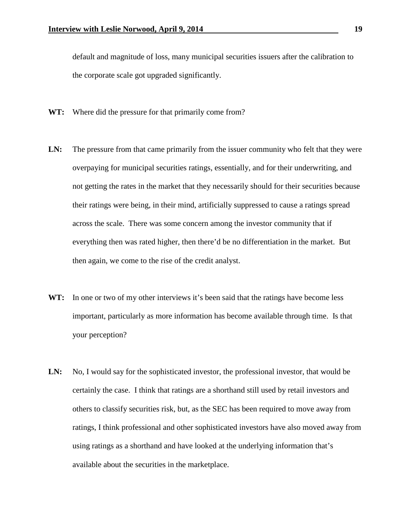default and magnitude of loss, many municipal securities issuers after the calibration to the corporate scale got upgraded significantly.

- **WT:** Where did the pressure for that primarily come from?
- LN: The pressure from that came primarily from the issuer community who felt that they were overpaying for municipal securities ratings, essentially, and for their underwriting, and not getting the rates in the market that they necessarily should for their securities because their ratings were being, in their mind, artificially suppressed to cause a ratings spread across the scale. There was some concern among the investor community that if everything then was rated higher, then there'd be no differentiation in the market. But then again, we come to the rise of the credit analyst.
- WT: In one or two of my other interviews it's been said that the ratings have become less important, particularly as more information has become available through time. Is that your perception?
- LN: No, I would say for the sophisticated investor, the professional investor, that would be certainly the case. I think that ratings are a shorthand still used by retail investors and others to classify securities risk, but, as the SEC has been required to move away from ratings, I think professional and other sophisticated investors have also moved away from using ratings as a shorthand and have looked at the underlying information that's available about the securities in the marketplace.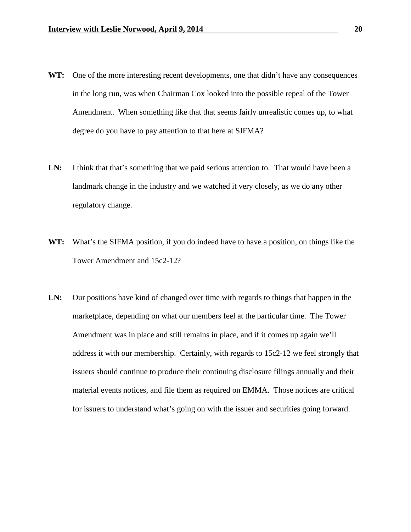- WT: One of the more interesting recent developments, one that didn't have any consequences in the long run, was when Chairman Cox looked into the possible repeal of the Tower Amendment. When something like that that seems fairly unrealistic comes up, to what degree do you have to pay attention to that here at SIFMA?
- LN: I think that that's something that we paid serious attention to. That would have been a landmark change in the industry and we watched it very closely, as we do any other regulatory change.
- **WT:** What's the SIFMA position, if you do indeed have to have a position, on things like the Tower Amendment and 15c2-12?
- **LN:** Our positions have kind of changed over time with regards to things that happen in the marketplace, depending on what our members feel at the particular time. The Tower Amendment was in place and still remains in place, and if it comes up again we'll address it with our membership. Certainly, with regards to 15c2-12 we feel strongly that issuers should continue to produce their continuing disclosure filings annually and their material events notices, and file them as required on EMMA. Those notices are critical for issuers to understand what's going on with the issuer and securities going forward.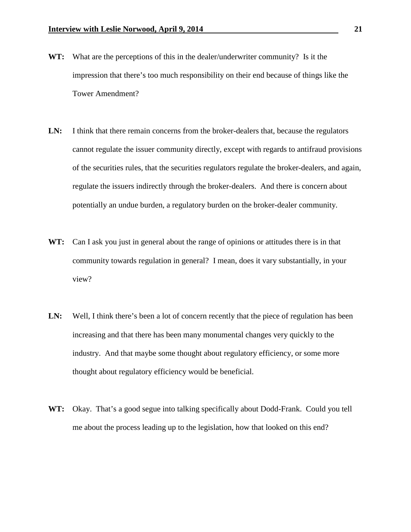- **WT:** What are the perceptions of this in the dealer/underwriter community? Is it the impression that there's too much responsibility on their end because of things like the Tower Amendment?
- LN: I think that there remain concerns from the broker-dealers that, because the regulators cannot regulate the issuer community directly, except with regards to antifraud provisions of the securities rules, that the securities regulators regulate the broker-dealers, and again, regulate the issuers indirectly through the broker-dealers. And there is concern about potentially an undue burden, a regulatory burden on the broker-dealer community.
- **WT:** Can I ask you just in general about the range of opinions or attitudes there is in that community towards regulation in general? I mean, does it vary substantially, in your view?
- LN: Well, I think there's been a lot of concern recently that the piece of regulation has been increasing and that there has been many monumental changes very quickly to the industry. And that maybe some thought about regulatory efficiency, or some more thought about regulatory efficiency would be beneficial.
- **WT:** Okay. That's a good segue into talking specifically about Dodd-Frank. Could you tell me about the process leading up to the legislation, how that looked on this end?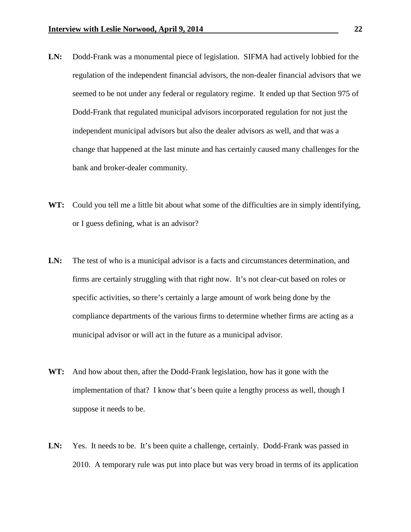- **LN:** Dodd-Frank was a monumental piece of legislation. SIFMA had actively lobbied for the regulation of the independent financial advisors, the non-dealer financial advisors that we seemed to be not under any federal or regulatory regime. It ended up that Section 975 of Dodd-Frank that regulated municipal advisors incorporated regulation for not just the independent municipal advisors but also the dealer advisors as well, and that was a change that happened at the last minute and has certainly caused many challenges for the bank and broker-dealer community.
- **WT:** Could you tell me a little bit about what some of the difficulties are in simply identifying, or I guess defining, what is an advisor?
- **LN:** The test of who is a municipal advisor is a facts and circumstances determination, and firms are certainly struggling with that right now. It's not clear-cut based on roles or specific activities, so there's certainly a large amount of work being done by the compliance departments of the various firms to determine whether firms are acting as a municipal advisor or will act in the future as a municipal advisor.
- **WT:** And how about then, after the Dodd-Frank legislation, how has it gone with the implementation of that? I know that's been quite a lengthy process as well, though I suppose it needs to be.
- LN: Yes. It needs to be. It's been quite a challenge, certainly. Dodd-Frank was passed in 2010. A temporary rule was put into place but was very broad in terms of its application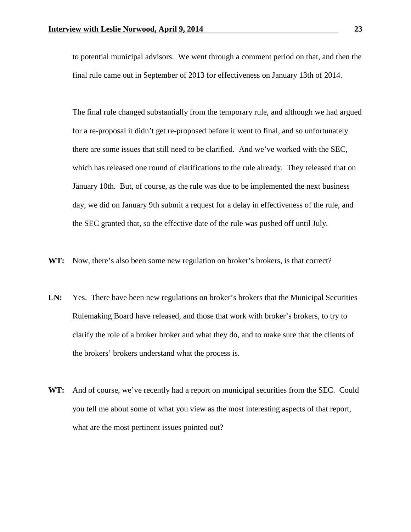to potential municipal advisors. We went through a comment period on that, and then the final rule came out in September of 2013 for effectiveness on January 13th of 2014.

The final rule changed substantially from the temporary rule, and although we had argued for a re-proposal it didn't get re-proposed before it went to final, and so unfortunately there are some issues that still need to be clarified. And we've worked with the SEC, which has released one round of clarifications to the rule already. They released that on January 10th. But, of course, as the rule was due to be implemented the next business day, we did on January 9th submit a request for a delay in effectiveness of the rule, and the SEC granted that, so the effective date of the rule was pushed off until July.

- **WT:** Now, there's also been some new regulation on broker's brokers, is that correct?
- LN: Yes. There have been new regulations on broker's brokers that the Municipal Securities Rulemaking Board have released, and those that work with broker's brokers, to try to clarify the role of a broker broker and what they do, and to make sure that the clients of the brokers' brokers understand what the process is.
- **WT:** And of course, we've recently had a report on municipal securities from the SEC. Could you tell me about some of what you view as the most interesting aspects of that report, what are the most pertinent issues pointed out?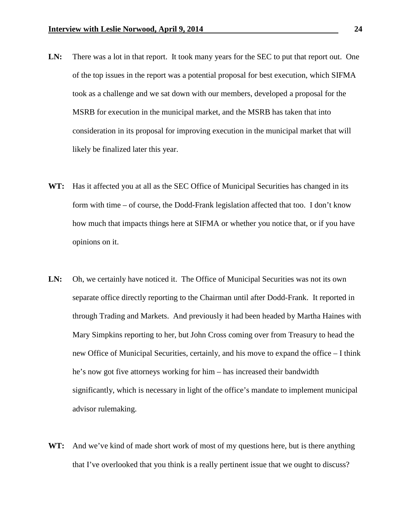- LN: There was a lot in that report. It took many years for the SEC to put that report out. One of the top issues in the report was a potential proposal for best execution, which SIFMA took as a challenge and we sat down with our members, developed a proposal for the MSRB for execution in the municipal market, and the MSRB has taken that into consideration in its proposal for improving execution in the municipal market that will likely be finalized later this year.
- **WT:** Has it affected you at all as the SEC Office of Municipal Securities has changed in its form with time – of course, the Dodd-Frank legislation affected that too. I don't know how much that impacts things here at SIFMA or whether you notice that, or if you have opinions on it.
- LN: Oh, we certainly have noticed it. The Office of Municipal Securities was not its own separate office directly reporting to the Chairman until after Dodd-Frank. It reported in through Trading and Markets. And previously it had been headed by Martha Haines with Mary Simpkins reporting to her, but John Cross coming over from Treasury to head the new Office of Municipal Securities, certainly, and his move to expand the office – I think he's now got five attorneys working for him – has increased their bandwidth significantly, which is necessary in light of the office's mandate to implement municipal advisor rulemaking.
- **WT:** And we've kind of made short work of most of my questions here, but is there anything that I've overlooked that you think is a really pertinent issue that we ought to discuss?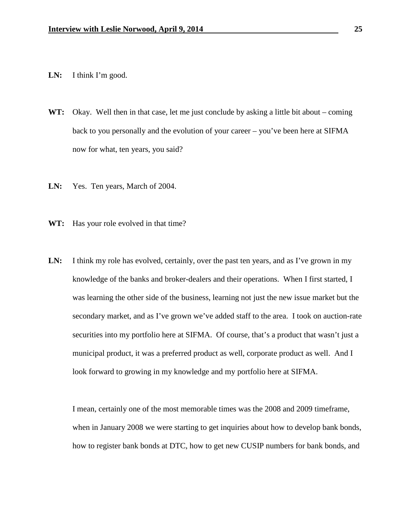- LN: I think I'm good.
- **WT:** Okay. Well then in that case, let me just conclude by asking a little bit about coming back to you personally and the evolution of your career – you've been here at SIFMA now for what, ten years, you said?
- **LN:** Yes. Ten years, March of 2004.
- **WT:** Has your role evolved in that time?
- LN: I think my role has evolved, certainly, over the past ten years, and as I've grown in my knowledge of the banks and broker-dealers and their operations. When I first started, I was learning the other side of the business, learning not just the new issue market but the secondary market, and as I've grown we've added staff to the area. I took on auction-rate securities into my portfolio here at SIFMA. Of course, that's a product that wasn't just a municipal product, it was a preferred product as well, corporate product as well. And I look forward to growing in my knowledge and my portfolio here at SIFMA.

I mean, certainly one of the most memorable times was the 2008 and 2009 timeframe, when in January 2008 we were starting to get inquiries about how to develop bank bonds, how to register bank bonds at DTC, how to get new CUSIP numbers for bank bonds, and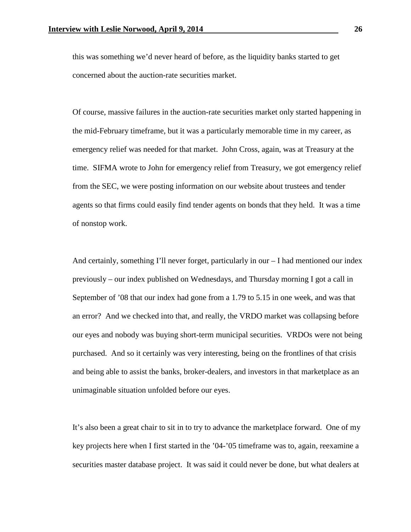this was something we'd never heard of before, as the liquidity banks started to get concerned about the auction-rate securities market.

Of course, massive failures in the auction-rate securities market only started happening in the mid-February timeframe, but it was a particularly memorable time in my career, as emergency relief was needed for that market. John Cross, again, was at Treasury at the time. SIFMA wrote to John for emergency relief from Treasury, we got emergency relief from the SEC, we were posting information on our website about trustees and tender agents so that firms could easily find tender agents on bonds that they held. It was a time of nonstop work.

And certainly, something I'll never forget, particularly in our – I had mentioned our index previously – our index published on Wednesdays, and Thursday morning I got a call in September of '08 that our index had gone from a 1.79 to 5.15 in one week, and was that an error? And we checked into that, and really, the VRDO market was collapsing before our eyes and nobody was buying short-term municipal securities. VRDOs were not being purchased. And so it certainly was very interesting, being on the frontlines of that crisis and being able to assist the banks, broker-dealers, and investors in that marketplace as an unimaginable situation unfolded before our eyes.

It's also been a great chair to sit in to try to advance the marketplace forward. One of my key projects here when I first started in the '04-'05 timeframe was to, again, reexamine a securities master database project. It was said it could never be done, but what dealers at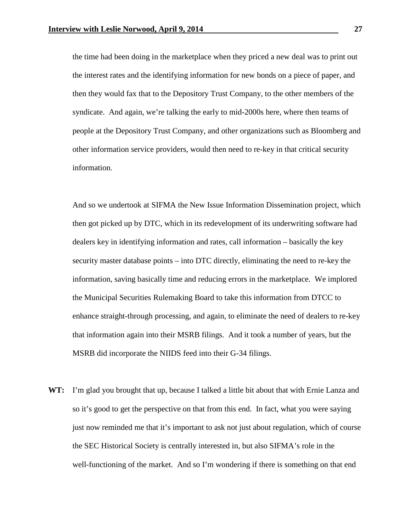the time had been doing in the marketplace when they priced a new deal was to print out the interest rates and the identifying information for new bonds on a piece of paper, and then they would fax that to the Depository Trust Company, to the other members of the syndicate. And again, we're talking the early to mid-2000s here, where then teams of people at the Depository Trust Company, and other organizations such as Bloomberg and other information service providers, would then need to re-key in that critical security information.

And so we undertook at SIFMA the New Issue Information Dissemination project, which then got picked up by DTC, which in its redevelopment of its underwriting software had dealers key in identifying information and rates, call information – basically the key security master database points – into DTC directly, eliminating the need to re-key the information, saving basically time and reducing errors in the marketplace. We implored the Municipal Securities Rulemaking Board to take this information from DTCC to enhance straight-through processing, and again, to eliminate the need of dealers to re-key that information again into their MSRB filings. And it took a number of years, but the MSRB did incorporate the NIIDS feed into their G-34 filings.

**WT:** I'm glad you brought that up, because I talked a little bit about that with Ernie Lanza and so it's good to get the perspective on that from this end. In fact, what you were saying just now reminded me that it's important to ask not just about regulation, which of course the SEC Historical Society is centrally interested in, but also SIFMA's role in the well-functioning of the market. And so I'm wondering if there is something on that end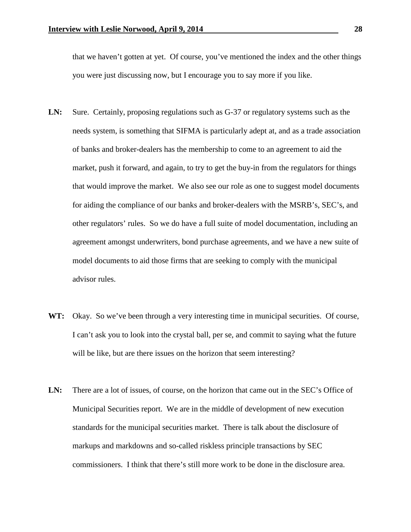that we haven't gotten at yet. Of course, you've mentioned the index and the other things you were just discussing now, but I encourage you to say more if you like.

- **LN:** Sure. Certainly, proposing regulations such as G-37 or regulatory systems such as the needs system, is something that SIFMA is particularly adept at, and as a trade association of banks and broker-dealers has the membership to come to an agreement to aid the market, push it forward, and again, to try to get the buy-in from the regulators for things that would improve the market. We also see our role as one to suggest model documents for aiding the compliance of our banks and broker-dealers with the MSRB's, SEC's, and other regulators' rules. So we do have a full suite of model documentation, including an agreement amongst underwriters, bond purchase agreements, and we have a new suite of model documents to aid those firms that are seeking to comply with the municipal advisor rules.
- WT: Okay. So we've been through a very interesting time in municipal securities. Of course, I can't ask you to look into the crystal ball, per se, and commit to saying what the future will be like, but are there issues on the horizon that seem interesting?
- LN: There are a lot of issues, of course, on the horizon that came out in the SEC's Office of Municipal Securities report. We are in the middle of development of new execution standards for the municipal securities market. There is talk about the disclosure of markups and markdowns and so-called riskless principle transactions by SEC commissioners. I think that there's still more work to be done in the disclosure area.